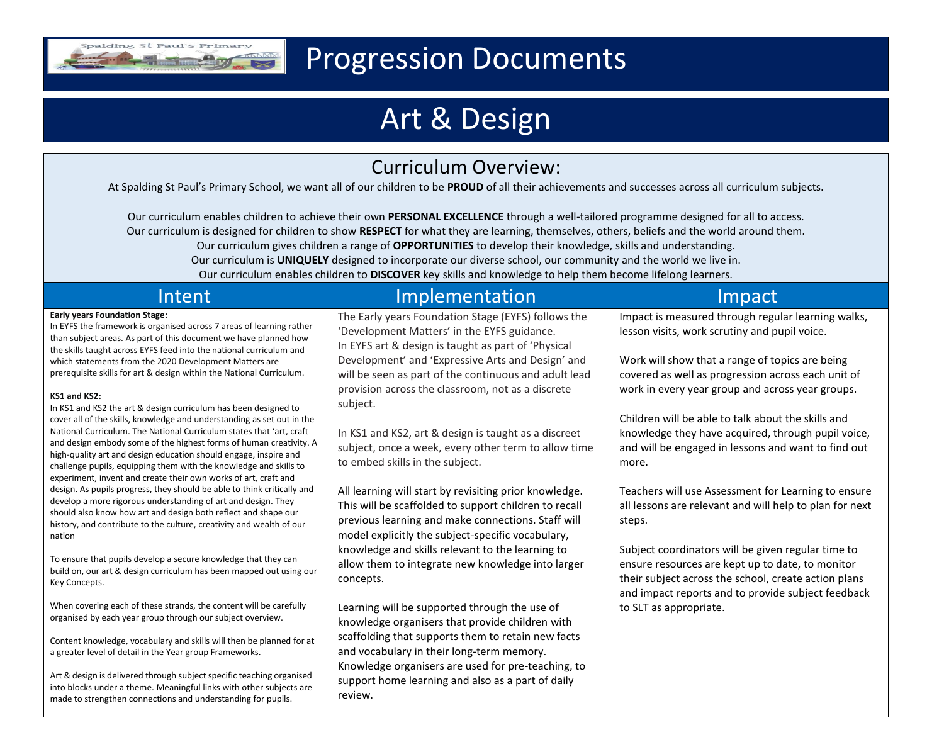

## Progression Documents

# Art & Design

### Curriculum Overview:

At Spalding St Paul's Primary School, we want all of our children to be **PROUD** of all their achievements and successes across all curriculum subjects.

Our curriculum enables children to achieve their own **PERSONAL EXCELLENCE** through a well-tailored programme designed for all to access. Our curriculum is designed for children to show **RESPECT** for what they are learning, themselves, others, beliefs and the world around them. Our curriculum gives children a range of **OPPORTUNITIES** to develop their knowledge, skills and understanding. Our curriculum is **UNIQUELY** designed to incorporate our diverse school, our community and the world we live in. Our curriculum enables children to **DISCOVER** key skills and knowledge to help them become lifelong learners.

| Intent                                                                                                                                                                                                                                                                                                                                                          | Implementation                                                                                                                                                                                                             | Impact                                                                                                                                                                                                               |
|-----------------------------------------------------------------------------------------------------------------------------------------------------------------------------------------------------------------------------------------------------------------------------------------------------------------------------------------------------------------|----------------------------------------------------------------------------------------------------------------------------------------------------------------------------------------------------------------------------|----------------------------------------------------------------------------------------------------------------------------------------------------------------------------------------------------------------------|
| <b>Early years Foundation Stage:</b><br>In EYFS the framework is organised across 7 areas of learning rather<br>than subject areas. As part of this document we have planned how<br>the skills taught across EYFS feed into the national curriculum and                                                                                                         | The Early years Foundation Stage (EYFS) follows the<br>'Development Matters' in the EYFS guidance.<br>In EYFS art & design is taught as part of 'Physical                                                                  | Impact is measured through regular learning walks,<br>lesson visits, work scrutiny and pupil voice.                                                                                                                  |
| which statements from the 2020 Development Matters are<br>prerequisite skills for art & design within the National Curriculum.                                                                                                                                                                                                                                  | Development' and 'Expressive Arts and Design' and<br>will be seen as part of the continuous and adult lead<br>provision across the classroom, not as a discrete                                                            | Work will show that a range of topics are being<br>covered as well as progression across each unit of<br>work in every year group and across year groups.                                                            |
| KS1 and KS2:<br>In KS1 and KS2 the art & design curriculum has been designed to<br>cover all of the skills, knowledge and understanding as set out in the<br>National Curriculum. The National Curriculum states that 'art, craft                                                                                                                               | subject.<br>In KS1 and KS2, art & design is taught as a discreet                                                                                                                                                           | Children will be able to talk about the skills and<br>knowledge they have acquired, through pupil voice,                                                                                                             |
| and design embody some of the highest forms of human creativity. A<br>high-quality art and design education should engage, inspire and<br>challenge pupils, equipping them with the knowledge and skills to                                                                                                                                                     | subject, once a week, every other term to allow time<br>to embed skills in the subject.                                                                                                                                    | and will be engaged in lessons and want to find out<br>more.                                                                                                                                                         |
| experiment, invent and create their own works of art, craft and<br>design. As pupils progress, they should be able to think critically and<br>develop a more rigorous understanding of art and design. They<br>should also know how art and design both reflect and shape our<br>history, and contribute to the culture, creativity and wealth of our<br>nation | All learning will start by revisiting prior knowledge.<br>This will be scaffolded to support children to recall<br>previous learning and make connections. Staff will<br>model explicitly the subject-specific vocabulary, | Teachers will use Assessment for Learning to ensure<br>all lessons are relevant and will help to plan for next<br>steps.                                                                                             |
| To ensure that pupils develop a secure knowledge that they can<br>build on, our art & design curriculum has been mapped out using our<br>Key Concepts.                                                                                                                                                                                                          | knowledge and skills relevant to the learning to<br>allow them to integrate new knowledge into larger<br>concepts.                                                                                                         | Subject coordinators will be given regular time to<br>ensure resources are kept up to date, to monitor<br>their subject across the school, create action plans<br>and impact reports and to provide subject feedback |
| When covering each of these strands, the content will be carefully<br>organised by each year group through our subject overview.                                                                                                                                                                                                                                | Learning will be supported through the use of<br>knowledge organisers that provide children with                                                                                                                           | to SLT as appropriate.                                                                                                                                                                                               |
| Content knowledge, vocabulary and skills will then be planned for at<br>a greater level of detail in the Year group Frameworks.                                                                                                                                                                                                                                 | scaffolding that supports them to retain new facts<br>and vocabulary in their long-term memory.                                                                                                                            |                                                                                                                                                                                                                      |
| Art & design is delivered through subject specific teaching organised<br>into blocks under a theme. Meaningful links with other subjects are<br>made to strengthen connections and understanding for pupils.                                                                                                                                                    | Knowledge organisers are used for pre-teaching, to<br>support home learning and also as a part of daily<br>review.                                                                                                         |                                                                                                                                                                                                                      |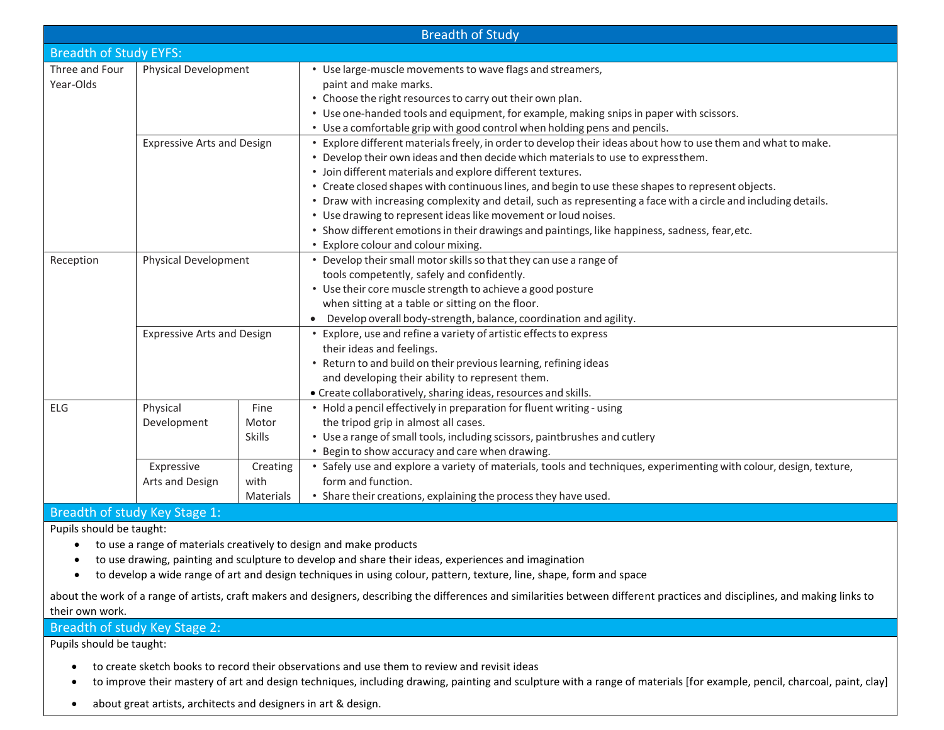|                                   |                                                                                              |                                | <b>Breadth of Study</b>                                                                                                                                                                                                                                                                                                                                                                                                                                                                                                                                                                                                                                                                           |
|-----------------------------------|----------------------------------------------------------------------------------------------|--------------------------------|---------------------------------------------------------------------------------------------------------------------------------------------------------------------------------------------------------------------------------------------------------------------------------------------------------------------------------------------------------------------------------------------------------------------------------------------------------------------------------------------------------------------------------------------------------------------------------------------------------------------------------------------------------------------------------------------------|
| <b>Breadth of Study EYFS:</b>     |                                                                                              |                                |                                                                                                                                                                                                                                                                                                                                                                                                                                                                                                                                                                                                                                                                                                   |
| Three and Four<br>Year-Olds       | Physical Development                                                                         |                                | • Use large-muscle movements to wave flags and streamers,<br>paint and make marks.<br>• Choose the right resources to carry out their own plan.<br>• Use one-handed tools and equipment, for example, making snips in paper with scissors.<br>• Use a comfortable grip with good control when holding pens and pencils.                                                                                                                                                                                                                                                                                                                                                                           |
| <b>Expressive Arts and Design</b> |                                                                                              |                                | • Explore different materials freely, in order to develop their ideas about how to use them and what to make.<br>• Develop their own ideas and then decide which materials to use to expressthem.<br>• Join different materials and explore different textures.<br>• Create closed shapes with continuous lines, and begin to use these shapes to represent objects.<br>• Draw with increasing complexity and detail, such as representing a face with a circle and including details.<br>• Use drawing to represent ideas like movement or loud noises.<br>• Show different emotions in their drawings and paintings, like happiness, sadness, fear, etc.<br>• Explore colour and colour mixing. |
| Reception                         | Physical Development                                                                         |                                | • Develop their small motor skills so that they can use a range of<br>tools competently, safely and confidently.<br>• Use their core muscle strength to achieve a good posture<br>when sitting at a table or sitting on the floor.<br>Develop overall body-strength, balance, coordination and agility.                                                                                                                                                                                                                                                                                                                                                                                           |
|                                   | <b>Expressive Arts and Design</b>                                                            |                                | Explore, use and refine a variety of artistic effects to express<br>their ideas and feelings.<br>• Return to and build on their previous learning, refining ideas<br>and developing their ability to represent them.<br>• Create collaboratively, sharing ideas, resources and skills.                                                                                                                                                                                                                                                                                                                                                                                                            |
| <b>ELG</b>                        | Physical<br>Development                                                                      | Fine<br>Motor<br><b>Skills</b> | • Hold a pencil effectively in preparation for fluent writing - using<br>the tripod grip in almost all cases.<br>• Use a range of small tools, including scissors, paintbrushes and cutlery<br>• Begin to show accuracy and care when drawing.                                                                                                                                                                                                                                                                                                                                                                                                                                                    |
|                                   | Expressive<br>Arts and Design<br>$D_{\text{max}}$ dth of $\phi$ tudu Kou $C_{\text{max}}$ 1. | Creating<br>with<br>Materials  | • Safely use and explore a variety of materials, tools and techniques, experimenting with colour, design, texture,<br>form and function.<br>• Share their creations, explaining the process they have used.                                                                                                                                                                                                                                                                                                                                                                                                                                                                                       |

#### Breadth of study Key Stage 1: Pupils should be taught:

- to use a range of materials creatively to design and make products
- to use drawing, painting and sculpture to develop and share their ideas, experiences and imagination
- to develop a wide range of art and design techniques in using colour, pattern, texture, line, shape, form and space

about the work of a range of artists, craft makers and designers, describing the differences and similarities between different practices and disciplines, and making links to their own work.

### Breadth of study Key Stage 2:

Pupils should be taught:

- to create sketch books to record their observations and use them to review and revisit ideas
- to improve their mastery of art and design techniques, including drawing, painting and sculpture with a range of materials [for example, pencil, charcoal, paint, clay]
- about great artists, architects and designers in art & design.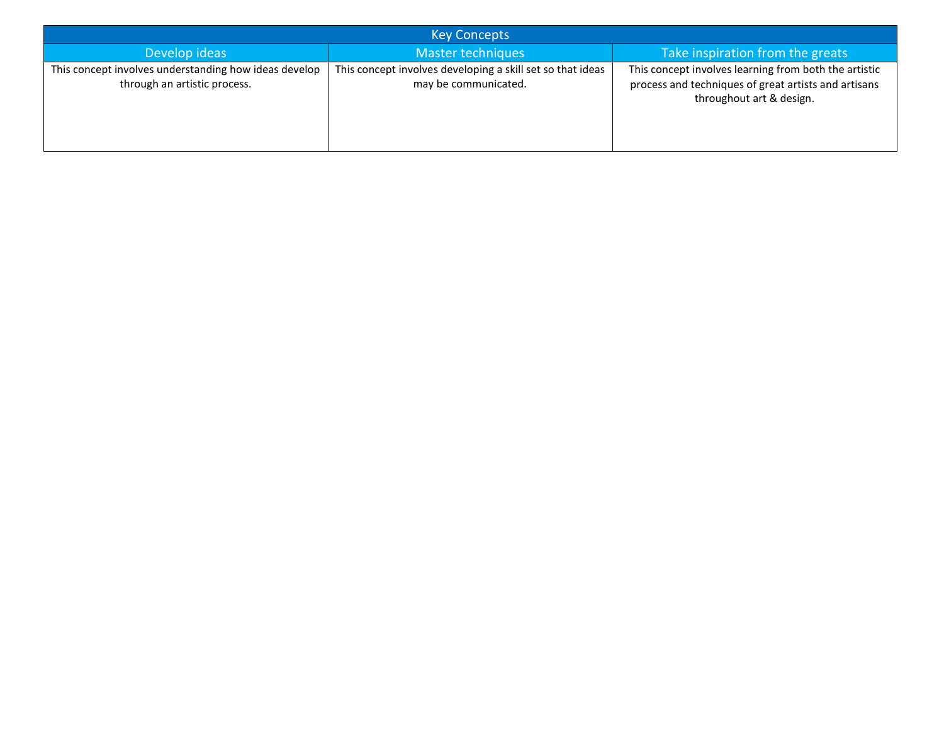| <b>Key Concepts</b>                                                                   |                                                                                    |                                                                                                                                           |  |  |  |
|---------------------------------------------------------------------------------------|------------------------------------------------------------------------------------|-------------------------------------------------------------------------------------------------------------------------------------------|--|--|--|
| Develop ideas                                                                         | Master techniques                                                                  | Take inspiration from the greats                                                                                                          |  |  |  |
| This concept involves understanding how ideas develop<br>through an artistic process. | This concept involves developing a skill set so that ideas<br>may be communicated. | This concept involves learning from both the artistic<br>process and techniques of great artists and artisans<br>throughout art & design. |  |  |  |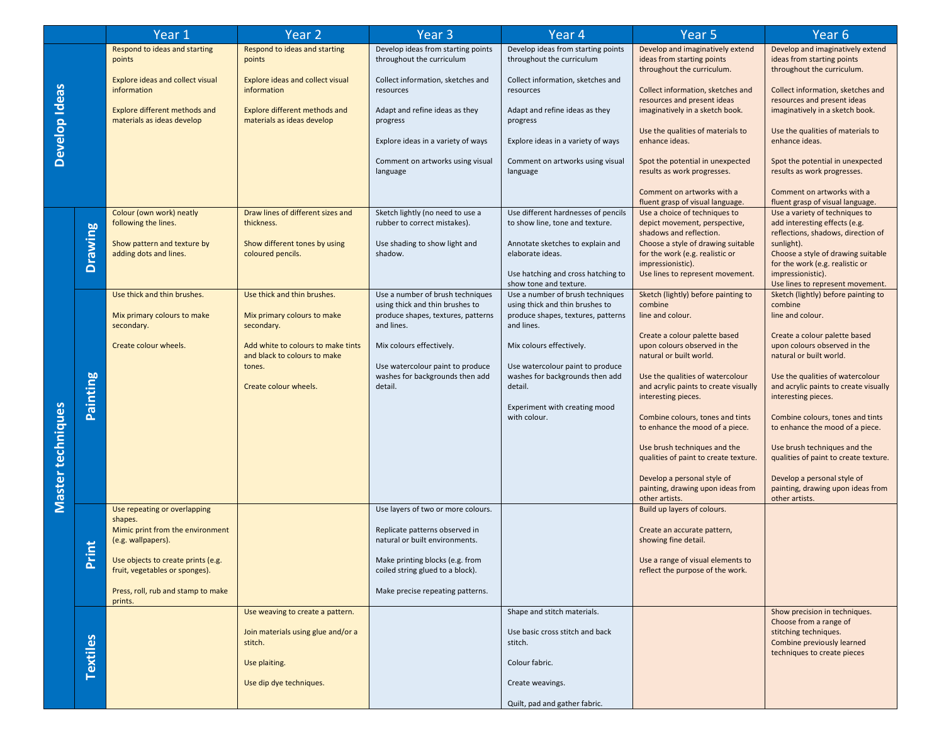|                   |                        | Year 1                                                               | Year <sub>2</sub>                                                  | Year <sub>3</sub>                                                              | Year 4                                                                         | Year <sub>5</sub>                                                                                | Year 6                                                                                                |
|-------------------|------------------------|----------------------------------------------------------------------|--------------------------------------------------------------------|--------------------------------------------------------------------------------|--------------------------------------------------------------------------------|--------------------------------------------------------------------------------------------------|-------------------------------------------------------------------------------------------------------|
|                   |                        | Respond to ideas and starting<br>points                              | Respond to ideas and starting<br>points                            | Develop ideas from starting points<br>throughout the curriculum                | Develop ideas from starting points<br>throughout the curriculum                | Develop and imaginatively extend<br>ideas from starting points<br>throughout the curriculum.     | Develop and imaginatively extend<br>ideas from starting points<br>throughout the curriculum.          |
|                   |                        | <b>Explore ideas and collect visual</b><br>information               | <b>Explore ideas and collect visual</b><br>information             | Collect information, sketches and<br>resources                                 | Collect information, sketches and<br>resources                                 | Collect information, sketches and<br>resources and present ideas                                 | Collect information, sketches and<br>resources and present ideas                                      |
|                   |                        | Explore different methods and<br>materials as ideas develop          | Explore different methods and<br>materials as ideas develop        | Adapt and refine ideas as they<br>progress                                     | Adapt and refine ideas as they<br>progress                                     | imaginatively in a sketch book.                                                                  | imaginatively in a sketch book.                                                                       |
| Develop Ideas     |                        |                                                                      |                                                                    | Explore ideas in a variety of ways                                             | Explore ideas in a variety of ways                                             | Use the qualities of materials to<br>enhance ideas.                                              | Use the qualities of materials to<br>enhance ideas.                                                   |
|                   |                        |                                                                      |                                                                    | Comment on artworks using visual<br>language                                   | Comment on artworks using visual<br>language                                   | Spot the potential in unexpected<br>results as work progresses.                                  | Spot the potential in unexpected<br>results as work progresses.                                       |
|                   |                        |                                                                      |                                                                    |                                                                                |                                                                                | Comment on artworks with a<br>fluent grasp of visual language.                                   | Comment on artworks with a<br>fluent grasp of visual language.                                        |
|                   |                        | Colour (own work) neatly<br>following the lines.                     | Draw lines of different sizes and<br>thickness.                    | Sketch lightly (no need to use a<br>rubber to correct mistakes).               | Use different hardnesses of pencils<br>to show line, tone and texture.         | Use a choice of techniques to<br>depict movement, perspective,<br>shadows and reflection.        | Use a variety of techniques to<br>add interesting effects (e.g.<br>reflections, shadows, direction of |
|                   | <b>Drawing</b>         | Show pattern and texture by<br>adding dots and lines.                | Show different tones by using<br>coloured pencils.                 | Use shading to show light and<br>shadow.                                       | Annotate sketches to explain and<br>elaborate ideas.                           | Choose a style of drawing suitable<br>for the work (e.g. realistic or                            | sunlight).<br>Choose a style of drawing suitable                                                      |
|                   |                        |                                                                      |                                                                    |                                                                                | Use hatching and cross hatching to<br>show tone and texture.                   | impressionistic).<br>Use lines to represent movement.                                            | for the work (e.g. realistic or<br>impressionistic).<br>Use lines to represent movement.              |
|                   |                        | Use thick and thin brushes.                                          | Use thick and thin brushes.                                        | Use a number of brush techniques<br>using thick and thin brushes to            | Use a number of brush techniques<br>using thick and thin brushes to            | Sketch (lightly) before painting to<br>combine                                                   | Sketch (lightly) before painting to<br>combine                                                        |
|                   |                        | Mix primary colours to make<br>secondary.                            | Mix primary colours to make<br>secondary.                          | produce shapes, textures, patterns<br>and lines.                               | produce shapes, textures, patterns<br>and lines.                               | line and colour.<br>Create a colour palette based                                                | line and colour.<br>Create a colour palette based                                                     |
|                   |                        | Create colour wheels.                                                | Add white to colours to make tints<br>and black to colours to make | Mix colours effectively.                                                       | Mix colours effectively.                                                       | upon colours observed in the<br>natural or built world.                                          | upon colours observed in the<br>natural or built world.                                               |
| Master techniques | <b>Painting</b>        |                                                                      | tones.<br>Create colour wheels.                                    | Use watercolour paint to produce<br>washes for backgrounds then add<br>detail. | Use watercolour paint to produce<br>washes for backgrounds then add<br>detail. | Use the qualities of watercolour<br>and acrylic paints to create visually<br>interesting pieces. | Use the qualities of watercolour<br>and acrylic paints to create visually<br>interesting pieces.      |
|                   |                        |                                                                      |                                                                    |                                                                                | Experiment with creating mood<br>with colour.                                  | Combine colours, tones and tints<br>to enhance the mood of a piece.                              | Combine colours, tones and tints<br>to enhance the mood of a piece.                                   |
|                   |                        |                                                                      |                                                                    |                                                                                |                                                                                | Use brush techniques and the<br>qualities of paint to create texture.                            | Use brush techniques and the<br>qualities of paint to create texture.                                 |
|                   |                        |                                                                      |                                                                    |                                                                                |                                                                                | Develop a personal style of<br>painting, drawing upon ideas from<br>other artists.               | Develop a personal style of<br>painting, drawing upon ideas from<br>other artists.                    |
|                   |                        | Use repeating or overlapping<br>shapes.                              |                                                                    | Use layers of two or more colours.                                             |                                                                                | Build up layers of colours.                                                                      |                                                                                                       |
|                   | <u>int</u><br>$\Delta$ | Mimic print from the environment<br>(e.g. wallpapers).               |                                                                    | Replicate patterns observed in<br>natural or built environments.               |                                                                                | Create an accurate pattern,<br>showing fine detail.                                              |                                                                                                       |
|                   |                        | Use objects to create prints (e.g.<br>fruit, vegetables or sponges). |                                                                    | Make printing blocks (e.g. from<br>coiled string glued to a block).            |                                                                                | Use a range of visual elements to<br>reflect the purpose of the work.                            |                                                                                                       |
|                   |                        | Press, roll, rub and stamp to make<br>prints.                        |                                                                    | Make precise repeating patterns.                                               |                                                                                |                                                                                                  |                                                                                                       |
|                   |                        |                                                                      | Use weaving to create a pattern.                                   |                                                                                | Shape and stitch materials.                                                    |                                                                                                  | Show precision in techniques.<br>Choose from a range of                                               |
|                   |                        |                                                                      | Join materials using glue and/or a<br>stitch.                      |                                                                                | Use basic cross stitch and back<br>stitch.                                     |                                                                                                  | stitching techniques.<br>Combine previously learned<br>techniques to create pieces                    |
|                   | Textiles               |                                                                      | Use plaiting.                                                      |                                                                                | Colour fabric.                                                                 |                                                                                                  |                                                                                                       |
|                   |                        |                                                                      | Use dip dye techniques.                                            |                                                                                | Create weavings.                                                               |                                                                                                  |                                                                                                       |
|                   |                        |                                                                      |                                                                    |                                                                                | Quilt, pad and gather fabric.                                                  |                                                                                                  |                                                                                                       |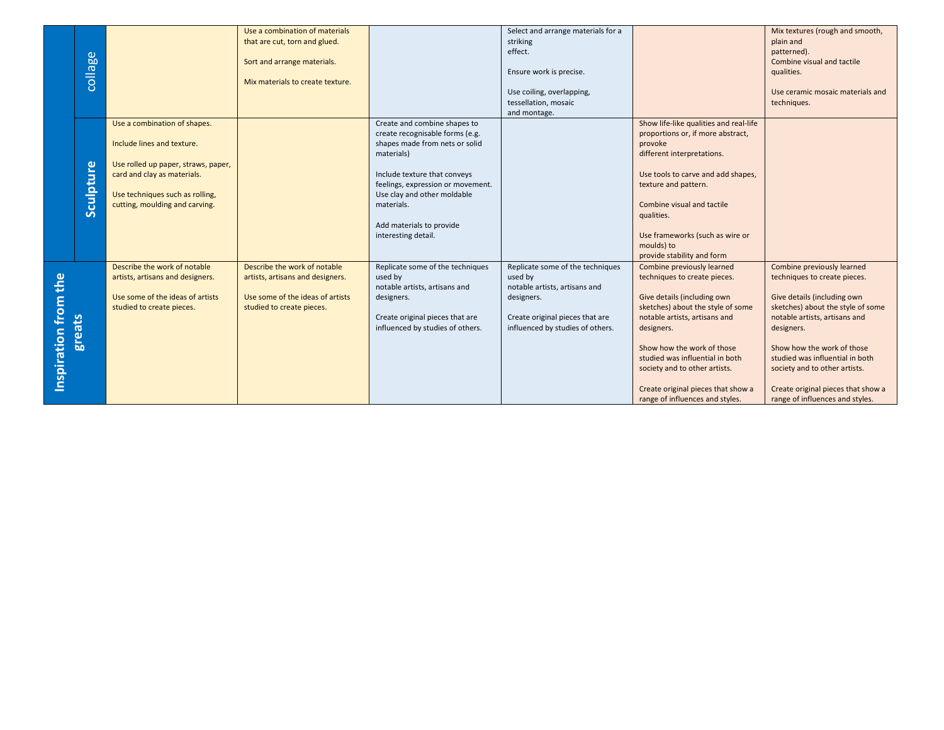|                      |           |                                                                    | Use a combination of materials   |                                   | Select and arrange materials for a |                                                               | Mix textures (rough and smooth,                               |
|----------------------|-----------|--------------------------------------------------------------------|----------------------------------|-----------------------------------|------------------------------------|---------------------------------------------------------------|---------------------------------------------------------------|
|                      |           |                                                                    | that are cut, torn and glued.    |                                   | striking                           |                                                               | plain and                                                     |
|                      |           |                                                                    |                                  |                                   | effect.                            |                                                               | patterned).                                                   |
|                      | collage   |                                                                    | Sort and arrange materials.      |                                   | Ensure work is precise.            |                                                               | Combine visual and tactile<br>qualities.                      |
|                      |           |                                                                    | Mix materials to create texture. |                                   |                                    |                                                               |                                                               |
|                      |           |                                                                    |                                  |                                   | Use coiling, overlapping,          |                                                               | Use ceramic mosaic materials and                              |
|                      |           |                                                                    |                                  |                                   | tessellation, mosaic               |                                                               | techniques.                                                   |
|                      |           |                                                                    |                                  |                                   | and montage.                       |                                                               |                                                               |
|                      |           | Use a combination of shapes.                                       |                                  | Create and combine shapes to      |                                    | Show life-like qualities and real-life                        |                                                               |
|                      |           |                                                                    |                                  | create recognisable forms (e.g.   |                                    | proportions or, if more abstract,                             |                                                               |
|                      |           | Include lines and texture.                                         |                                  | shapes made from nets or solid    |                                    | provoke                                                       |                                                               |
|                      |           |                                                                    |                                  | materials)                        |                                    | different interpretations.                                    |                                                               |
|                      |           | Use rolled up paper, straws, paper,<br>card and clay as materials. |                                  | Include texture that conveys      |                                    | Use tools to carve and add shapes,                            |                                                               |
|                      | Sculpture |                                                                    |                                  | feelings, expression or movement. |                                    | texture and pattern.                                          |                                                               |
|                      |           | Use techniques such as rolling,                                    |                                  | Use clay and other moldable       |                                    |                                                               |                                                               |
|                      |           | cutting, moulding and carving.                                     |                                  | materials.                        |                                    | Combine visual and tactile                                    |                                                               |
|                      |           |                                                                    |                                  |                                   |                                    | qualities.                                                    |                                                               |
|                      |           |                                                                    |                                  | Add materials to provide          |                                    |                                                               |                                                               |
|                      |           |                                                                    |                                  | interesting detail.               |                                    | Use frameworks (such as wire or                               |                                                               |
|                      |           |                                                                    |                                  |                                   |                                    | moulds) to                                                    |                                                               |
|                      |           | Describe the work of notable                                       | Describe the work of notable     | Replicate some of the techniques  | Replicate some of the techniques   | provide stability and form<br>Combine previously learned      | Combine previously learned                                    |
|                      |           | artists, artisans and designers.                                   | artists, artisans and designers. | used by                           | used by                            | techniques to create pieces.                                  | techniques to create pieces.                                  |
|                      |           |                                                                    |                                  | notable artists, artisans and     | notable artists, artisans and      |                                                               |                                                               |
|                      |           | Use some of the ideas of artists                                   | Use some of the ideas of artists | designers.                        | designers.                         | Give details (including own                                   | Give details (including own                                   |
|                      |           | studied to create pieces.                                          | studied to create pieces.        |                                   |                                    | sketches) about the style of some                             | sketches) about the style of some                             |
|                      |           |                                                                    |                                  | Create original pieces that are   | Create original pieces that are    | notable artists, artisans and                                 | notable artists, artisans and                                 |
|                      |           |                                                                    |                                  | influenced by studies of others.  | influenced by studies of others.   | designers.                                                    | designers.                                                    |
|                      | greats    |                                                                    |                                  |                                   |                                    |                                                               |                                                               |
|                      |           |                                                                    |                                  |                                   |                                    | Show how the work of those<br>studied was influential in both | Show how the work of those<br>studied was influential in both |
|                      |           |                                                                    |                                  |                                   |                                    | society and to other artists.                                 | society and to other artists.                                 |
| Inspiration from the |           |                                                                    |                                  |                                   |                                    |                                                               |                                                               |
|                      |           |                                                                    |                                  |                                   |                                    | Create original pieces that show a                            | Create original pieces that show a                            |
|                      |           |                                                                    |                                  |                                   |                                    | range of influences and styles.                               | range of influences and styles.                               |